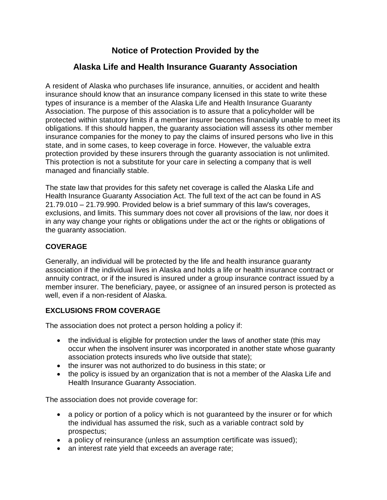# **Notice of Protection Provided by the**

# **Alaska Life and Health Insurance Guaranty Association**

A resident of Alaska who purchases life insurance, annuities, or accident and health insurance should know that an insurance company licensed in this state to write these types of insurance is a member of the Alaska Life and Health Insurance Guaranty Association. The purpose of this association is to assure that a policyholder will be protected within statutory limits if a member insurer becomes financially unable to meet its obligations. If this should happen, the guaranty association will assess its other member insurance companies for the money to pay the claims of insured persons who live in this state, and in some cases, to keep coverage in force. However, the valuable extra protection provided by these insurers through the guaranty association is not unlimited. This protection is not a substitute for your care in selecting a company that is well managed and financially stable.

The state law that provides for this safety net coverage is called the Alaska Life and Health Insurance Guaranty Association Act. The full text of the act can be found in AS 21.79.010 – 21.79.990. Provided below is a brief summary of this law's coverages, exclusions, and limits. This summary does not cover all provisions of the law, nor does it in any way change your rights or obligations under the act or the rights or obligations of the guaranty association.

### **COVERAGE**

Generally, an individual will be protected by the life and health insurance guaranty association if the individual lives in Alaska and holds a life or health insurance contract or annuity contract, or if the insured is insured under a group insurance contract issued by a member insurer. The beneficiary, payee, or assignee of an insured person is protected as well, even if a non-resident of Alaska.

### **EXCLUSIONS FROM COVERAGE**

The association does not protect a person holding a policy if:

- the individual is eligible for protection under the laws of another state (this may occur when the insolvent insurer was incorporated in another state whose guaranty association protects insureds who live outside that state);
- the insurer was not authorized to do business in this state; or
- the policy is issued by an organization that is not a member of the Alaska Life and Health Insurance Guaranty Association.

The association does not provide coverage for:

- a policy or portion of a policy which is not quaranteed by the insurer or for which the individual has assumed the risk, such as a variable contract sold by prospectus;
- a policy of reinsurance (unless an assumption certificate was issued);
- an interest rate yield that exceeds an average rate;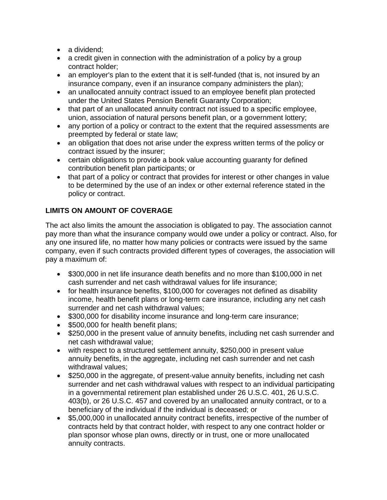- a dividend;
- a credit given in connection with the administration of a policy by a group contract holder;
- an employer's plan to the extent that it is self-funded (that is, not insured by an insurance company, even if an insurance company administers the plan);
- an unallocated annuity contract issued to an employee benefit plan protected under the United States Pension Benefit Guaranty Corporation;
- that part of an unallocated annuity contract not issued to a specific employee, union, association of natural persons benefit plan, or a government lottery;
- any portion of a policy or contract to the extent that the required assessments are preempted by federal or state law;
- an obligation that does not arise under the express written terms of the policy or contract issued by the insurer;
- certain obligations to provide a book value accounting guaranty for defined contribution benefit plan participants; or
- that part of a policy or contract that provides for interest or other changes in value to be determined by the use of an index or other external reference stated in the policy or contract.

### **LIMITS ON AMOUNT OF COVERAGE**

The act also limits the amount the association is obligated to pay. The association cannot pay more than what the insurance company would owe under a policy or contract. Also, for any one insured life, no matter how many policies or contracts were issued by the same company, even if such contracts provided different types of coverages, the association will pay a maximum of:

- \$300,000 in net life insurance death benefits and no more than \$100,000 in net cash surrender and net cash withdrawal values for life insurance;
- for health insurance benefits, \$100,000 for coverages not defined as disability income, health benefit plans or long-term care insurance, including any net cash surrender and net cash withdrawal values;
- \$300,000 for disability income insurance and long-term care insurance;
- \$500,000 for health benefit plans;
- \$250,000 in the present value of annuity benefits, including net cash surrender and net cash withdrawal value;
- with respect to a structured settlement annuity, \$250,000 in present value annuity benefits, in the aggregate, including net cash surrender and net cash withdrawal values;
- \$250,000 in the aggregate, of present-value annuity benefits, including net cash surrender and net cash withdrawal values with respect to an individual participating in a governmental retirement plan established under 26 U.S.C. 401, 26 U.S.C. 403(b), or 26 U.S.C. 457 and covered by an unallocated annuity contract, or to a beneficiary of the individual if the individual is deceased; or
- \$5,000,000 in unallocated annuity contract benefits, irrespective of the number of contracts held by that contract holder, with respect to any one contract holder or plan sponsor whose plan owns, directly or in trust, one or more unallocated annuity contracts.